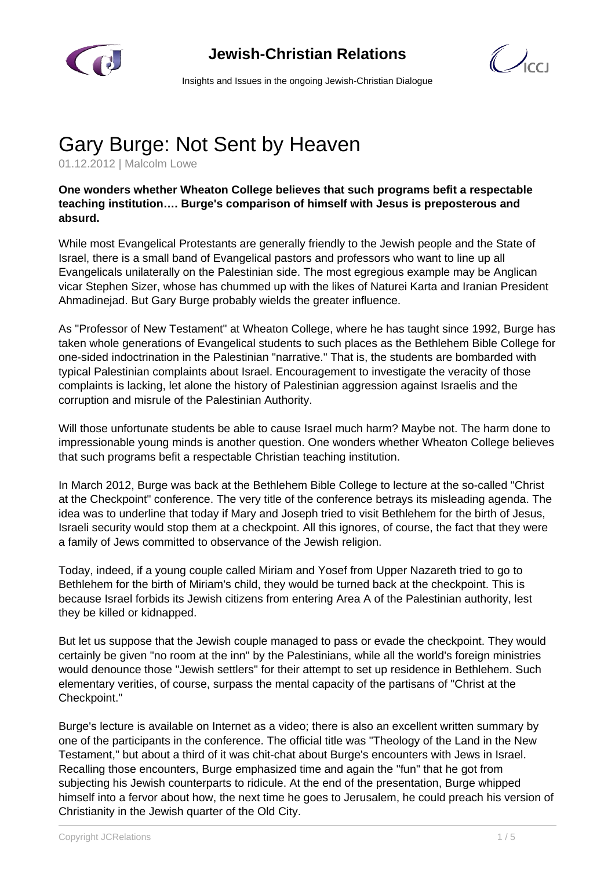



Insights and Issues in the ongoing Jewish-Christian Dialogue

## Gary Burge: Not Sent by Heaven

01.12.2012 | Malcolm Lowe

## **One wonders whether Wheaton College believes that such programs befit a respectable teaching institution…. Burge's comparison of himself with Jesus is preposterous and absurd.**

While most Evangelical Protestants are generally friendly to the Jewish people and the State of Israel, there is a small band of Evangelical pastors and professors who want to line up all Evangelicals unilaterally on the Palestinian side. The most egregious example may be Anglican vicar Stephen Sizer, whose has chummed up with the likes of Naturei Karta and Iranian President Ahmadinejad. But Gary Burge probably wields the greater influence.

As "Professor of New Testament" at Wheaton College, where he has taught since 1992, Burge has taken whole generations of Evangelical students to such places as the Bethlehem Bible College for one-sided indoctrination in the Palestinian "narrative." That is, the students are bombarded with typical Palestinian complaints about Israel. Encouragement to investigate the veracity of those complaints is lacking, let alone the history of Palestinian aggression against Israelis and the corruption and misrule of the Palestinian Authority.

Will those unfortunate students be able to cause Israel much harm? Maybe not. The harm done to impressionable young minds is another question. One wonders whether Wheaton College believes that such programs befit a respectable Christian teaching institution.

In March 2012, Burge was back at the Bethlehem Bible College to lecture at the so-called "Christ at the Checkpoint" conference. The very title of the conference betrays its misleading agenda. The idea was to underline that today if Mary and Joseph tried to visit Bethlehem for the birth of Jesus, Israeli security would stop them at a checkpoint. All this ignores, of course, the fact that they were a family of Jews committed to observance of the Jewish religion.

Today, indeed, if a young couple called Miriam and Yosef from Upper Nazareth tried to go to Bethlehem for the birth of Miriam's child, they would be turned back at the checkpoint. This is because Israel forbids its Jewish citizens from entering Area A of the Palestinian authority, lest they be killed or kidnapped.

But let us suppose that the Jewish couple managed to pass or evade the checkpoint. They would certainly be given "no room at the inn" by the Palestinians, while all the world's foreign ministries would denounce those "Jewish settlers" for their attempt to set up residence in Bethlehem. Such elementary verities, of course, surpass the mental capacity of the partisans of "Christ at the Checkpoint."

Burge's lecture is available on Internet as a video; there is also an excellent written summary by one of the participants in the conference. The official title was "Theology of the Land in the New Testament," but about a third of it was chit-chat about Burge's encounters with Jews in Israel. Recalling those encounters, Burge emphasized time and again the "fun" that he got from subjecting his Jewish counterparts to ridicule. At the end of the presentation, Burge whipped himself into a fervor about how, the next time he goes to Jerusalem, he could preach his version of Christianity in the Jewish quarter of the Old City.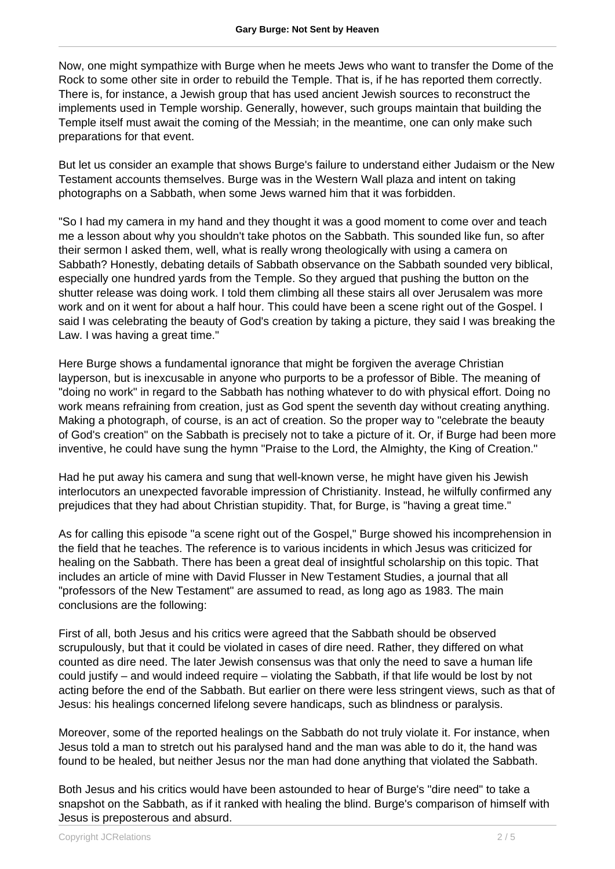Now, one might sympathize with Burge when he meets Jews who want to transfer the Dome of the Rock to some other site in order to rebuild the Temple. That is, if he has reported them correctly. There is, for instance, a Jewish group that has used ancient Jewish sources to reconstruct the implements used in Temple worship. Generally, however, such groups maintain that building the Temple itself must await the coming of the Messiah; in the meantime, one can only make such preparations for that event.

But let us consider an example that shows Burge's failure to understand either Judaism or the New Testament accounts themselves. Burge was in the Western Wall plaza and intent on taking photographs on a Sabbath, when some Jews warned him that it was forbidden.

"So I had my camera in my hand and they thought it was a good moment to come over and teach me a lesson about why you shouldn't take photos on the Sabbath. This sounded like fun, so after their sermon I asked them, well, what is really wrong theologically with using a camera on Sabbath? Honestly, debating details of Sabbath observance on the Sabbath sounded very biblical, especially one hundred yards from the Temple. So they argued that pushing the button on the shutter release was doing work. I told them climbing all these stairs all over Jerusalem was more work and on it went for about a half hour. This could have been a scene right out of the Gospel. I said I was celebrating the beauty of God's creation by taking a picture, they said I was breaking the Law. I was having a great time."

Here Burge shows a fundamental ignorance that might be forgiven the average Christian layperson, but is inexcusable in anyone who purports to be a professor of Bible. The meaning of "doing no work" in regard to the Sabbath has nothing whatever to do with physical effort. Doing no work means refraining from creation, just as God spent the seventh day without creating anything. Making a photograph, of course, is an act of creation. So the proper way to "celebrate the beauty of God's creation" on the Sabbath is precisely not to take a picture of it. Or, if Burge had been more inventive, he could have sung the hymn "Praise to the Lord, the Almighty, the King of Creation."

Had he put away his camera and sung that well-known verse, he might have given his Jewish interlocutors an unexpected favorable impression of Christianity. Instead, he wilfully confirmed any prejudices that they had about Christian stupidity. That, for Burge, is "having a great time."

As for calling this episode "a scene right out of the Gospel," Burge showed his incomprehension in the field that he teaches. The reference is to various incidents in which Jesus was criticized for healing on the Sabbath. There has been a great deal of insightful scholarship on this topic. That includes an article of mine with David Flusser in New Testament Studies, a journal that all "professors of the New Testament" are assumed to read, as long ago as 1983. The main conclusions are the following:

First of all, both Jesus and his critics were agreed that the Sabbath should be observed scrupulously, but that it could be violated in cases of dire need. Rather, they differed on what counted as dire need. The later Jewish consensus was that only the need to save a human life could justify – and would indeed require – violating the Sabbath, if that life would be lost by not acting before the end of the Sabbath. But earlier on there were less stringent views, such as that of Jesus: his healings concerned lifelong severe handicaps, such as blindness or paralysis.

Moreover, some of the reported healings on the Sabbath do not truly violate it. For instance, when Jesus told a man to stretch out his paralysed hand and the man was able to do it, the hand was found to be healed, but neither Jesus nor the man had done anything that violated the Sabbath.

Both Jesus and his critics would have been astounded to hear of Burge's "dire need" to take a snapshot on the Sabbath, as if it ranked with healing the blind. Burge's comparison of himself with Jesus is preposterous and absurd.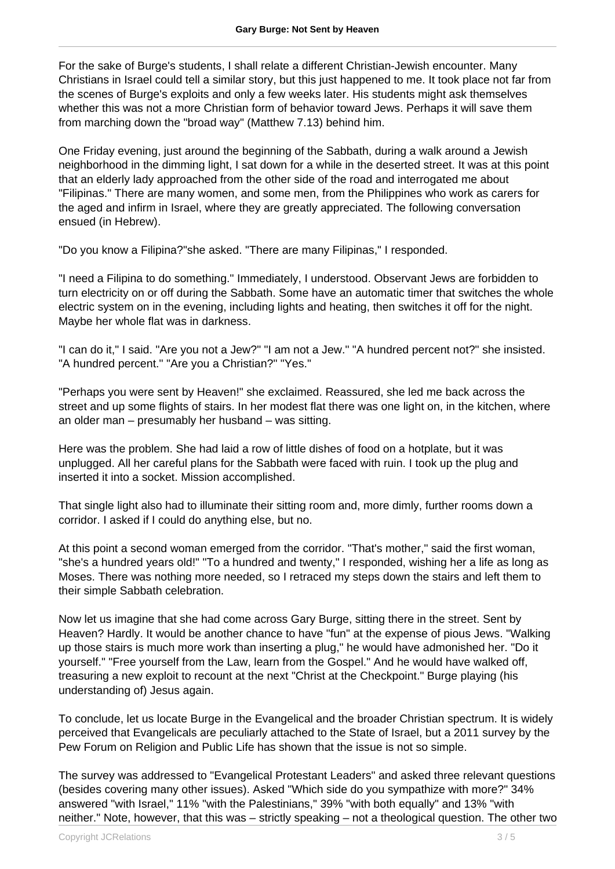For the sake of Burge's students, I shall relate a different Christian-Jewish encounter. Many Christians in Israel could tell a similar story, but this just happened to me. It took place not far from the scenes of Burge's exploits and only a few weeks later. His students might ask themselves whether this was not a more Christian form of behavior toward Jews. Perhaps it will save them from marching down the "broad way" (Matthew 7.13) behind him.

One Friday evening, just around the beginning of the Sabbath, during a walk around a Jewish neighborhood in the dimming light, I sat down for a while in the deserted street. It was at this point that an elderly lady approached from the other side of the road and interrogated me about "Filipinas." There are many women, and some men, from the Philippines who work as carers for the aged and infirm in Israel, where they are greatly appreciated. The following conversation ensued (in Hebrew).

"Do you know a Filipina?"she asked. "There are many Filipinas," I responded.

"I need a Filipina to do something." Immediately, I understood. Observant Jews are forbidden to turn electricity on or off during the Sabbath. Some have an automatic timer that switches the whole electric system on in the evening, including lights and heating, then switches it off for the night. Maybe her whole flat was in darkness.

"I can do it," I said. "Are you not a Jew?" "I am not a Jew." "A hundred percent not?" she insisted. "A hundred percent." "Are you a Christian?" "Yes."

"Perhaps you were sent by Heaven!" she exclaimed. Reassured, she led me back across the street and up some flights of stairs. In her modest flat there was one light on, in the kitchen, where an older man – presumably her husband – was sitting.

Here was the problem. She had laid a row of little dishes of food on a hotplate, but it was unplugged. All her careful plans for the Sabbath were faced with ruin. I took up the plug and inserted it into a socket. Mission accomplished.

That single light also had to illuminate their sitting room and, more dimly, further rooms down a corridor. I asked if I could do anything else, but no.

At this point a second woman emerged from the corridor. "That's mother," said the first woman, "she's a hundred years old!" "To a hundred and twenty," I responded, wishing her a life as long as Moses. There was nothing more needed, so I retraced my steps down the stairs and left them to their simple Sabbath celebration.

Now let us imagine that she had come across Gary Burge, sitting there in the street. Sent by Heaven? Hardly. It would be another chance to have "fun" at the expense of pious Jews. "Walking up those stairs is much more work than inserting a plug," he would have admonished her. "Do it yourself." "Free yourself from the Law, learn from the Gospel." And he would have walked off, treasuring a new exploit to recount at the next "Christ at the Checkpoint." Burge playing (his understanding of) Jesus again.

To conclude, let us locate Burge in the Evangelical and the broader Christian spectrum. It is widely perceived that Evangelicals are peculiarly attached to the State of Israel, but a 2011 survey by the Pew Forum on Religion and Public Life has shown that the issue is not so simple.

The survey was addressed to "Evangelical Protestant Leaders" and asked three relevant questions (besides covering many other issues). Asked "Which side do you sympathize with more?" 34% answered "with Israel," 11% "with the Palestinians," 39% "with both equally" and 13% "with neither." Note, however, that this was – strictly speaking – not a theological question. The other two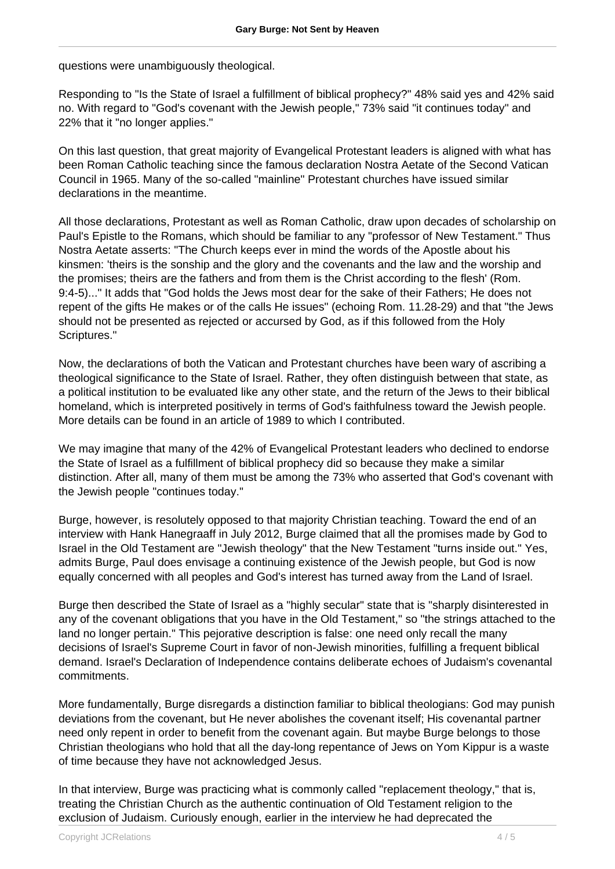questions were unambiguously theological.

Responding to "Is the State of Israel a fulfillment of biblical prophecy?" 48% said yes and 42% said no. With regard to "God's covenant with the Jewish people," 73% said "it continues today" and 22% that it "no longer applies."

On this last question, that great majority of Evangelical Protestant leaders is aligned with what has been Roman Catholic teaching since the famous declaration Nostra Aetate of the Second Vatican Council in 1965. Many of the so-called "mainline" Protestant churches have issued similar declarations in the meantime.

All those declarations, Protestant as well as Roman Catholic, draw upon decades of scholarship on Paul's Epistle to the Romans, which should be familiar to any "professor of New Testament." Thus Nostra Aetate asserts: "The Church keeps ever in mind the words of the Apostle about his kinsmen: 'theirs is the sonship and the glory and the covenants and the law and the worship and the promises; theirs are the fathers and from them is the Christ according to the flesh' (Rom. 9:4-5)..." It adds that "God holds the Jews most dear for the sake of their Fathers; He does not repent of the gifts He makes or of the calls He issues" (echoing Rom. 11.28-29) and that "the Jews should not be presented as rejected or accursed by God, as if this followed from the Holy Scriptures."

Now, the declarations of both the Vatican and Protestant churches have been wary of ascribing a theological significance to the State of Israel. Rather, they often distinguish between that state, as a political institution to be evaluated like any other state, and the return of the Jews to their biblical homeland, which is interpreted positively in terms of God's faithfulness toward the Jewish people. More details can be found in an article of 1989 to which I contributed.

We may imagine that many of the 42% of Evangelical Protestant leaders who declined to endorse the State of Israel as a fulfillment of biblical prophecy did so because they make a similar distinction. After all, many of them must be among the 73% who asserted that God's covenant with the Jewish people "continues today."

Burge, however, is resolutely opposed to that majority Christian teaching. Toward the end of an interview with Hank Hanegraaff in July 2012, Burge claimed that all the promises made by God to Israel in the Old Testament are "Jewish theology" that the New Testament "turns inside out." Yes, admits Burge, Paul does envisage a continuing existence of the Jewish people, but God is now equally concerned with all peoples and God's interest has turned away from the Land of Israel.

Burge then described the State of Israel as a "highly secular" state that is "sharply disinterested in any of the covenant obligations that you have in the Old Testament," so "the strings attached to the land no longer pertain." This pejorative description is false: one need only recall the many decisions of Israel's Supreme Court in favor of non-Jewish minorities, fulfilling a frequent biblical demand. Israel's Declaration of Independence contains deliberate echoes of Judaism's covenantal commitments.

More fundamentally, Burge disregards a distinction familiar to biblical theologians: God may punish deviations from the covenant, but He never abolishes the covenant itself; His covenantal partner need only repent in order to benefit from the covenant again. But maybe Burge belongs to those Christian theologians who hold that all the day-long repentance of Jews on Yom Kippur is a waste of time because they have not acknowledged Jesus.

In that interview, Burge was practicing what is commonly called "replacement theology," that is, treating the Christian Church as the authentic continuation of Old Testament religion to the exclusion of Judaism. Curiously enough, earlier in the interview he had deprecated the